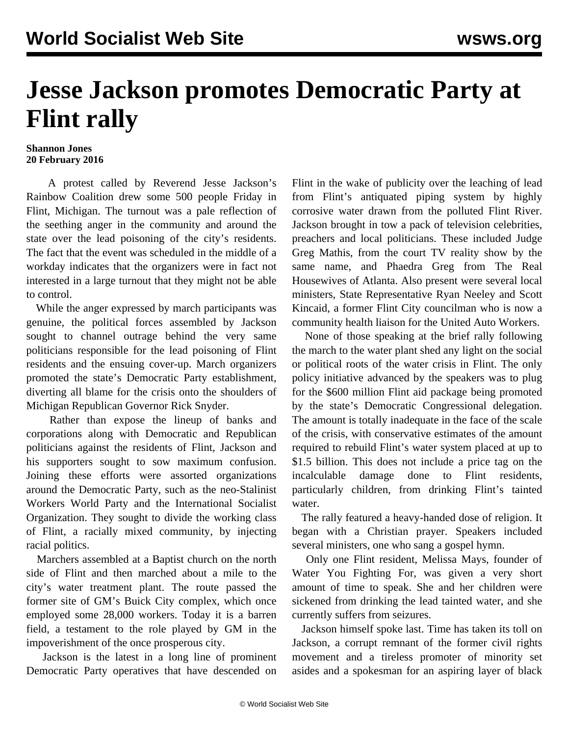## **Jesse Jackson promotes Democratic Party at Flint rally**

## **Shannon Jones 20 February 2016**

 A protest called by Reverend Jesse Jackson's Rainbow Coalition drew some 500 people Friday in Flint, Michigan. The turnout was a pale reflection of the seething anger in the community and around the state over the lead poisoning of the city's residents. The fact that the event was scheduled in the middle of a workday indicates that the organizers were in fact not interested in a large turnout that they might not be able to control.

 While the anger expressed by march participants was genuine, the political forces assembled by Jackson sought to channel outrage behind the very same politicians responsible for the lead poisoning of Flint residents and the ensuing cover-up. March organizers promoted the state's Democratic Party establishment, diverting all blame for the crisis onto the shoulders of Michigan Republican Governor Rick Snyder.

 Rather than expose the lineup of banks and corporations along with Democratic and Republican politicians against the residents of Flint, Jackson and his supporters sought to sow maximum confusion. Joining these efforts were assorted organizations around the Democratic Party, such as the neo-Stalinist Workers World Party and the International Socialist Organization. They sought to divide the working class of Flint, a racially mixed community, by injecting racial politics.

 Marchers assembled at a Baptist church on the north side of Flint and then marched about a mile to the city's water treatment plant. The route passed the former site of GM's Buick City complex, which once employed some 28,000 workers. Today it is a barren field, a testament to the role played by GM in the impoverishment of the once prosperous city.

 Jackson is the latest in a long line of prominent Democratic Party operatives that have descended on

Flint in the wake of publicity over the leaching of lead from Flint's antiquated piping system by highly corrosive water drawn from the polluted Flint River. Jackson brought in tow a pack of television celebrities, preachers and local politicians. These included Judge Greg Mathis, from the court TV reality show by the same name, and Phaedra Greg from The Real Housewives of Atlanta. Also present were several local ministers, State Representative Ryan Neeley and Scott Kincaid, a former Flint City councilman who is now a community health liaison for the United Auto Workers.

 None of those speaking at the brief rally following the march to the water plant shed any light on the social or political roots of the water crisis in Flint. The only policy initiative advanced by the speakers was to plug for the \$600 million Flint aid package being promoted by the state's Democratic Congressional delegation. The amount is totally inadequate in the face of the scale of the crisis, with conservative estimates of the amount required to rebuild Flint's water system placed at up to \$1.5 billion. This does not include a price tag on the incalculable damage done to Flint residents, particularly children, from drinking Flint's tainted water.

 The rally featured a heavy-handed dose of religion. It began with a Christian prayer. Speakers included several ministers, one who sang a gospel hymn.

 Only one Flint resident, Melissa Mays, founder of Water You Fighting For, was given a very short amount of time to speak. She and her children were sickened from drinking the lead tainted water, and she currently suffers from seizures.

 Jackson himself spoke last. Time has taken its toll on Jackson, a corrupt remnant of the former civil rights movement and a tireless promoter of minority set asides and a spokesman for an aspiring layer of black